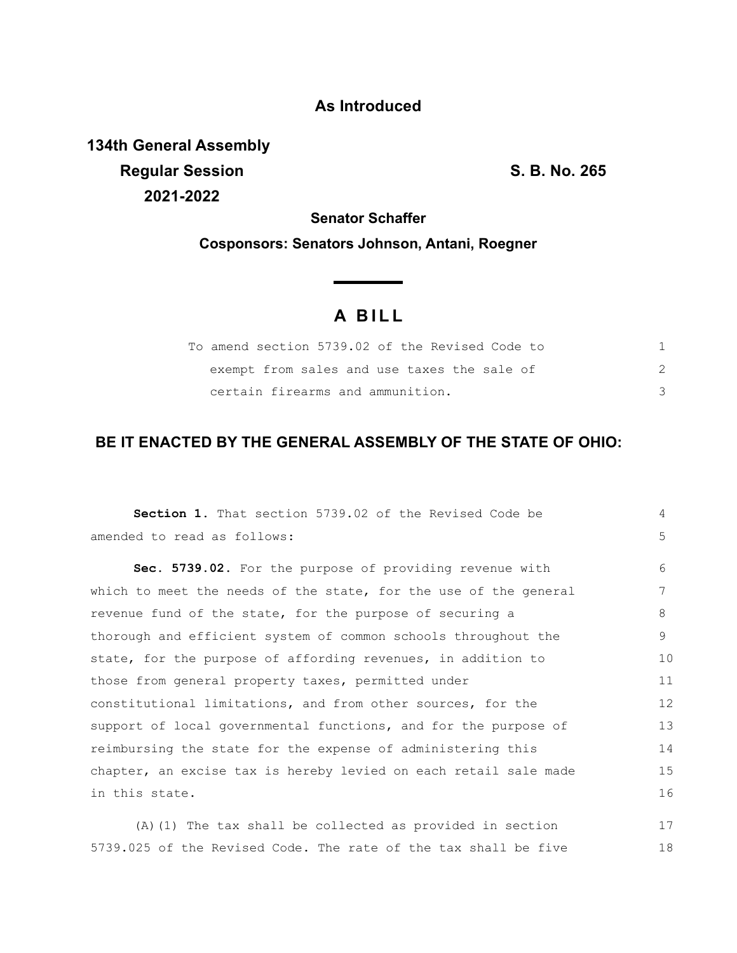## **As Introduced**

**134th General Assembly Regular Session S. B. No. 265 2021-2022**

18

**Senator Schaffer**

**Cosponsors: Senators Johnson, Antani, Roegner**

# **A B I L L**

| To amend section 5739.02 of the Revised Code to |  |
|-------------------------------------------------|--|
| exempt from sales and use taxes the sale of     |  |
| certain firearms and ammunition.                |  |

### **BE IT ENACTED BY THE GENERAL ASSEMBLY OF THE STATE OF OHIO:**

| <b>Section 1.</b> That section 5739.02 of the Revised Code be    | 4  |  |
|------------------------------------------------------------------|----|--|
| amended to read as follows:                                      | 5  |  |
| Sec. 5739.02. For the purpose of providing revenue with          | 6  |  |
| which to meet the needs of the state, for the use of the general | 7  |  |
| revenue fund of the state, for the purpose of securing a         | 8  |  |
| thorough and efficient system of common schools throughout the   |    |  |
| state, for the purpose of affording revenues, in addition to     |    |  |
| those from general property taxes, permitted under               |    |  |
| constitutional limitations, and from other sources, for the      |    |  |
| support of local governmental functions, and for the purpose of  |    |  |
| reimbursing the state for the expense of administering this      |    |  |
| chapter, an excise tax is hereby levied on each retail sale made |    |  |
| in this state.                                                   |    |  |
| (A) (1) The tax shall be collected as provided in section        | 17 |  |

5739.025 of the Revised Code. The rate of the tax shall be five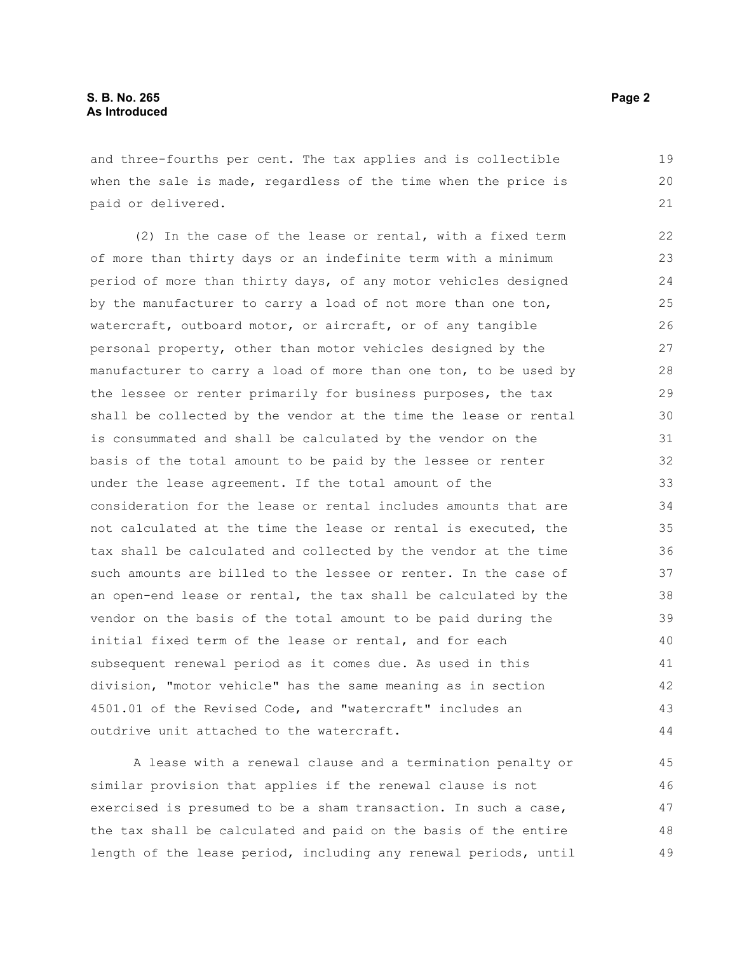and three-fourths per cent. The tax applies and is collectible when the sale is made, regardless of the time when the price is paid or delivered. 19 20

(2) In the case of the lease or rental, with a fixed term of more than thirty days or an indefinite term with a minimum period of more than thirty days, of any motor vehicles designed by the manufacturer to carry a load of not more than one ton, watercraft, outboard motor, or aircraft, or of any tangible personal property, other than motor vehicles designed by the manufacturer to carry a load of more than one ton, to be used by the lessee or renter primarily for business purposes, the tax shall be collected by the vendor at the time the lease or rental is consummated and shall be calculated by the vendor on the basis of the total amount to be paid by the lessee or renter under the lease agreement. If the total amount of the consideration for the lease or rental includes amounts that are not calculated at the time the lease or rental is executed, the tax shall be calculated and collected by the vendor at the time such amounts are billed to the lessee or renter. In the case of an open-end lease or rental, the tax shall be calculated by the vendor on the basis of the total amount to be paid during the initial fixed term of the lease or rental, and for each subsequent renewal period as it comes due. As used in this division, "motor vehicle" has the same meaning as in section 4501.01 of the Revised Code, and "watercraft" includes an outdrive unit attached to the watercraft. 22 23 24 25 26 27 28 29 30 31 32 33 34 35 36 37 38 39 40 41 42 43 44

A lease with a renewal clause and a termination penalty or similar provision that applies if the renewal clause is not exercised is presumed to be a sham transaction. In such a case, the tax shall be calculated and paid on the basis of the entire length of the lease period, including any renewal periods, until 45 46 47 48 49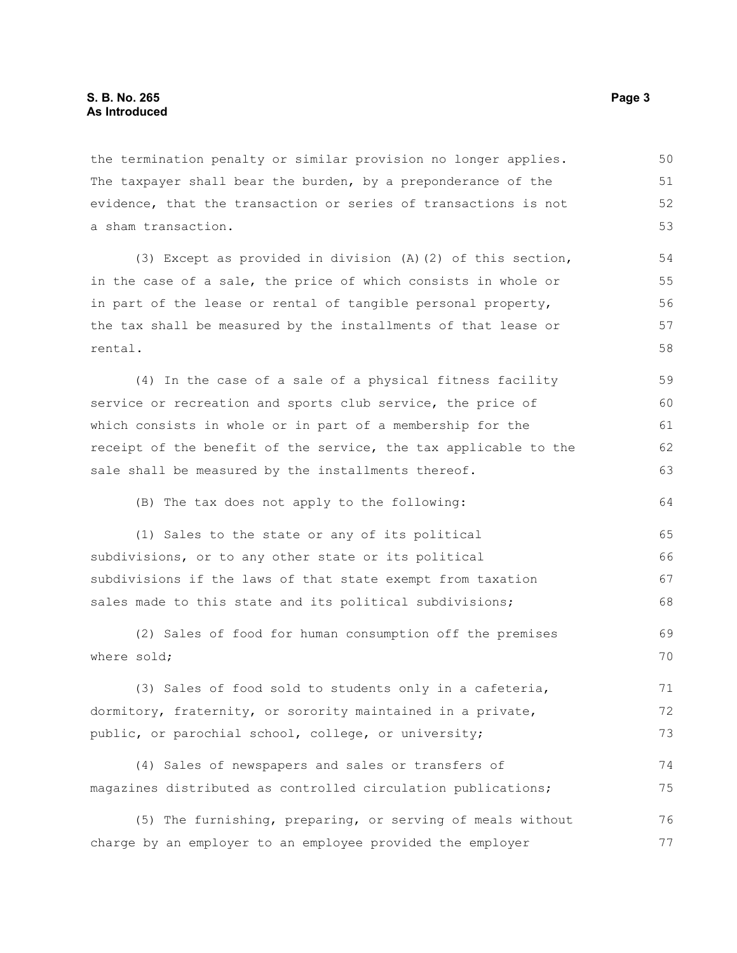the termination penalty or similar provision no longer applies. The taxpayer shall bear the burden, by a preponderance of the evidence, that the transaction or series of transactions is not a sham transaction. 50 51 52 53

(3) Except as provided in division (A)(2) of this section, in the case of a sale, the price of which consists in whole or in part of the lease or rental of tangible personal property, the tax shall be measured by the installments of that lease or rental. 54 55 56 57 58

(4) In the case of a sale of a physical fitness facility service or recreation and sports club service, the price of which consists in whole or in part of a membership for the receipt of the benefit of the service, the tax applicable to the sale shall be measured by the installments thereof. 59 60 61 62 63

(B) The tax does not apply to the following:

(1) Sales to the state or any of its political subdivisions, or to any other state or its political subdivisions if the laws of that state exempt from taxation sales made to this state and its political subdivisions; 65 66 67 68

(2) Sales of food for human consumption off the premises where sold; 69 70

(3) Sales of food sold to students only in a cafeteria, dormitory, fraternity, or sorority maintained in a private, public, or parochial school, college, or university; 71 72 73

(4) Sales of newspapers and sales or transfers of magazines distributed as controlled circulation publications; 74 75

(5) The furnishing, preparing, or serving of meals without charge by an employer to an employee provided the employer 76 77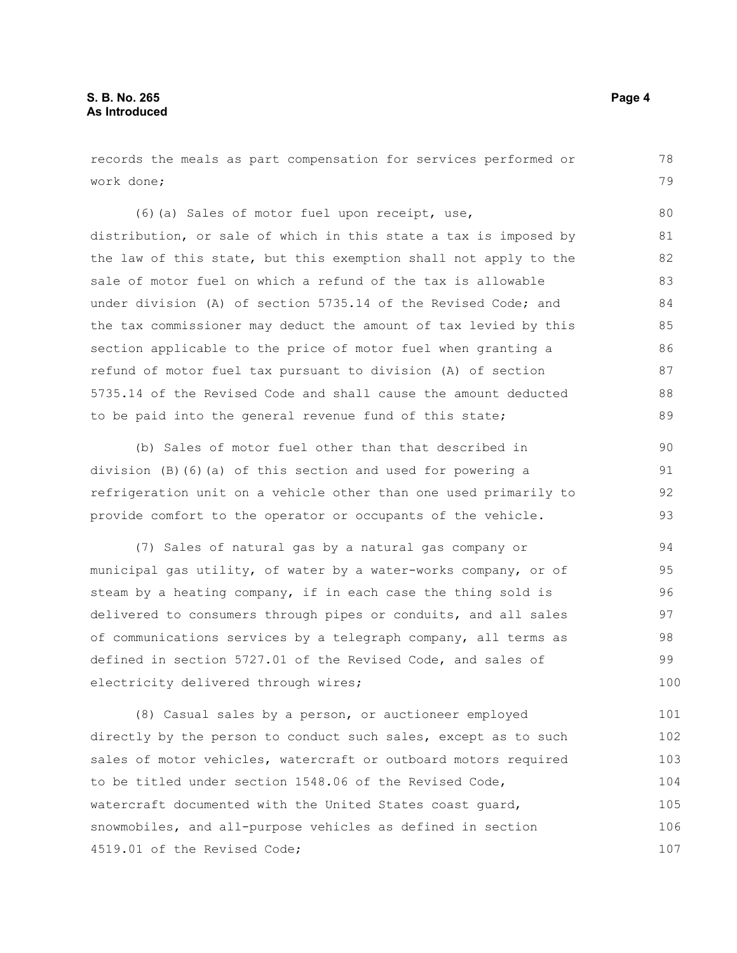records the meals as part compensation for services performed or work done; 78 79

(6)(a) Sales of motor fuel upon receipt, use, distribution, or sale of which in this state a tax is imposed by the law of this state, but this exemption shall not apply to the sale of motor fuel on which a refund of the tax is allowable under division (A) of section 5735.14 of the Revised Code; and the tax commissioner may deduct the amount of tax levied by this section applicable to the price of motor fuel when granting a refund of motor fuel tax pursuant to division (A) of section 5735.14 of the Revised Code and shall cause the amount deducted to be paid into the general revenue fund of this state; 80 81 82 83 84 85 86 87 88 89

(b) Sales of motor fuel other than that described in division (B)(6)(a) of this section and used for powering a refrigeration unit on a vehicle other than one used primarily to provide comfort to the operator or occupants of the vehicle. 90 91 92 93

(7) Sales of natural gas by a natural gas company or municipal gas utility, of water by a water-works company, or of steam by a heating company, if in each case the thing sold is delivered to consumers through pipes or conduits, and all sales of communications services by a telegraph company, all terms as defined in section 5727.01 of the Revised Code, and sales of electricity delivered through wires; 94 95 96 97 98 99 100

(8) Casual sales by a person, or auctioneer employed directly by the person to conduct such sales, except as to such sales of motor vehicles, watercraft or outboard motors required to be titled under section 1548.06 of the Revised Code, watercraft documented with the United States coast guard, snowmobiles, and all-purpose vehicles as defined in section 4519.01 of the Revised Code; 101 102 103 104 105 106 107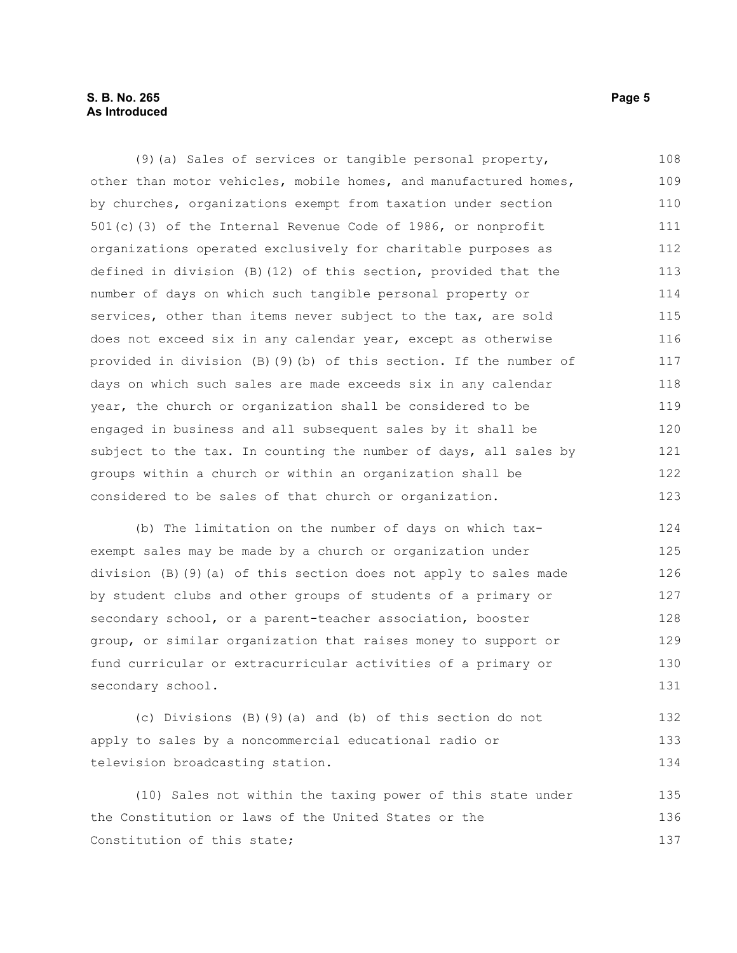#### **S. B. No. 265** Page 5 **As Introduced**

(9)(a) Sales of services or tangible personal property, other than motor vehicles, mobile homes, and manufactured homes, by churches, organizations exempt from taxation under section 501(c)(3) of the Internal Revenue Code of 1986, or nonprofit organizations operated exclusively for charitable purposes as defined in division (B)(12) of this section, provided that the number of days on which such tangible personal property or services, other than items never subject to the tax, are sold does not exceed six in any calendar year, except as otherwise provided in division (B)(9)(b) of this section. If the number of days on which such sales are made exceeds six in any calendar year, the church or organization shall be considered to be engaged in business and all subsequent sales by it shall be subject to the tax. In counting the number of days, all sales by groups within a church or within an organization shall be considered to be sales of that church or organization. 108 109 110 111 112 113 114 115 116 117 118 119 120 121 122 123

(b) The limitation on the number of days on which taxexempt sales may be made by a church or organization under division (B)(9)(a) of this section does not apply to sales made by student clubs and other groups of students of a primary or secondary school, or a parent-teacher association, booster group, or similar organization that raises money to support or fund curricular or extracurricular activities of a primary or secondary school. 124 125 126 127 128 129 130 131

(c) Divisions (B)(9)(a) and (b) of this section do not apply to sales by a noncommercial educational radio or television broadcasting station. 132 133 134

(10) Sales not within the taxing power of this state under the Constitution or laws of the United States or the Constitution of this state; 135 136 137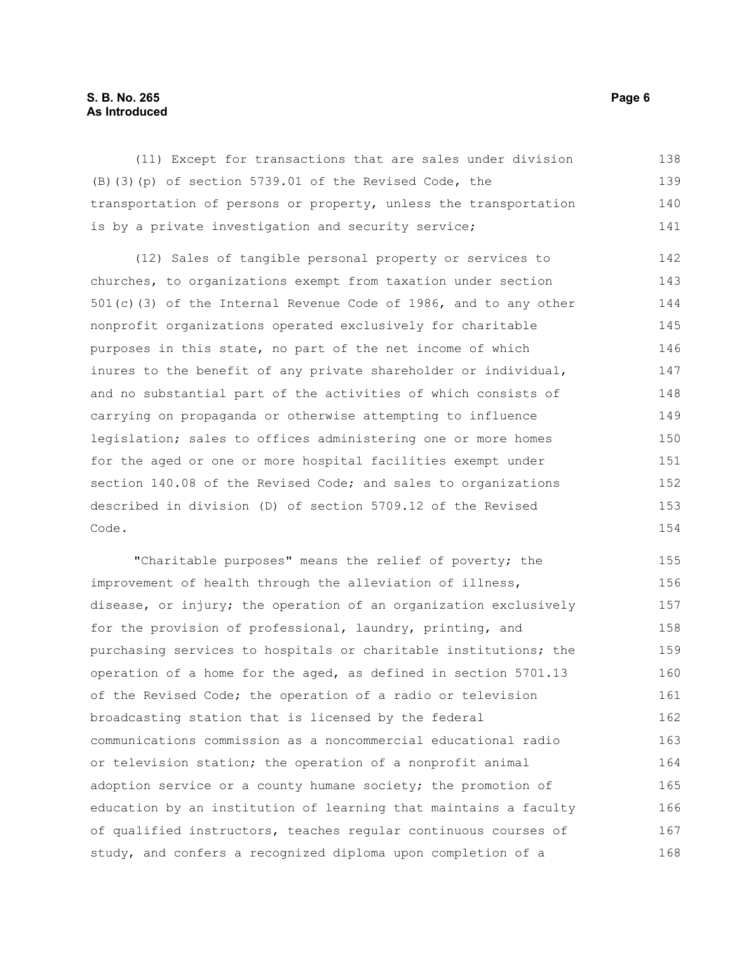#### **S. B. No. 265** Page 6 **As Introduced**

(11) Except for transactions that are sales under division (B)(3)(p) of section 5739.01 of the Revised Code, the transportation of persons or property, unless the transportation is by a private investigation and security service; (12) Sales of tangible personal property or services to churches, to organizations exempt from taxation under section 501(c)(3) of the Internal Revenue Code of 1986, and to any other nonprofit organizations operated exclusively for charitable purposes in this state, no part of the net income of which inures to the benefit of any private shareholder or individual, and no substantial part of the activities of which consists of carrying on propaganda or otherwise attempting to influence legislation; sales to offices administering one or more homes for the aged or one or more hospital facilities exempt under section 140.08 of the Revised Code; and sales to organizations described in division (D) of section 5709.12 of the Revised Code. "Charitable purposes" means the relief of poverty; the improvement of health through the alleviation of illness, disease, or injury; the operation of an organization exclusively for the provision of professional, laundry, printing, and 138 139 140 141 142 143 144 145 146 147 148 149 150 151 152 153 154 155 156 157 158 159

purchasing services to hospitals or charitable institutions; the operation of a home for the aged, as defined in section 5701.13 of the Revised Code; the operation of a radio or television broadcasting station that is licensed by the federal communications commission as a noncommercial educational radio or television station; the operation of a nonprofit animal adoption service or a county humane society; the promotion of education by an institution of learning that maintains a faculty of qualified instructors, teaches regular continuous courses of study, and confers a recognized diploma upon completion of a 160 161 162 163 164 165 166 167 168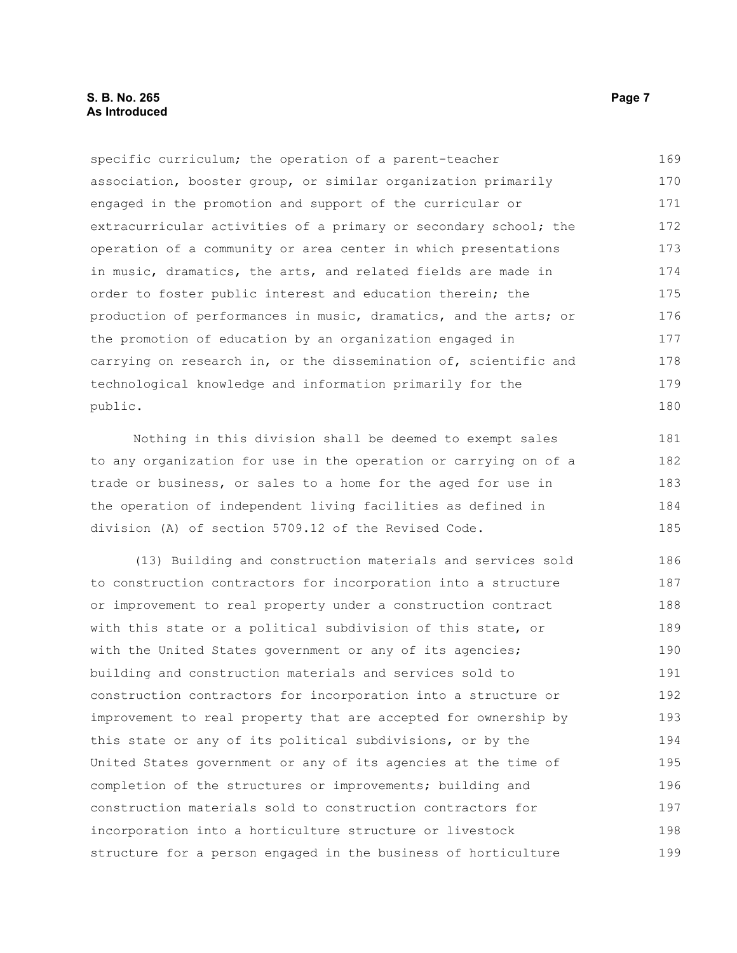#### **S. B. No. 265 Page 7 As Introduced**

specific curriculum; the operation of a parent-teacher association, booster group, or similar organization primarily engaged in the promotion and support of the curricular or extracurricular activities of a primary or secondary school; the operation of a community or area center in which presentations in music, dramatics, the arts, and related fields are made in order to foster public interest and education therein; the production of performances in music, dramatics, and the arts; or the promotion of education by an organization engaged in carrying on research in, or the dissemination of, scientific and technological knowledge and information primarily for the public. 169 170 171 172 173 174 175 176 177 178 179 180

Nothing in this division shall be deemed to exempt sales to any organization for use in the operation or carrying on of a trade or business, or sales to a home for the aged for use in the operation of independent living facilities as defined in division (A) of section 5709.12 of the Revised Code.

(13) Building and construction materials and services sold to construction contractors for incorporation into a structure or improvement to real property under a construction contract with this state or a political subdivision of this state, or with the United States government or any of its agencies; building and construction materials and services sold to construction contractors for incorporation into a structure or improvement to real property that are accepted for ownership by this state or any of its political subdivisions, or by the United States government or any of its agencies at the time of completion of the structures or improvements; building and construction materials sold to construction contractors for incorporation into a horticulture structure or livestock structure for a person engaged in the business of horticulture 186 187 188 189 190 191 192 193 194 195 196 197 198 199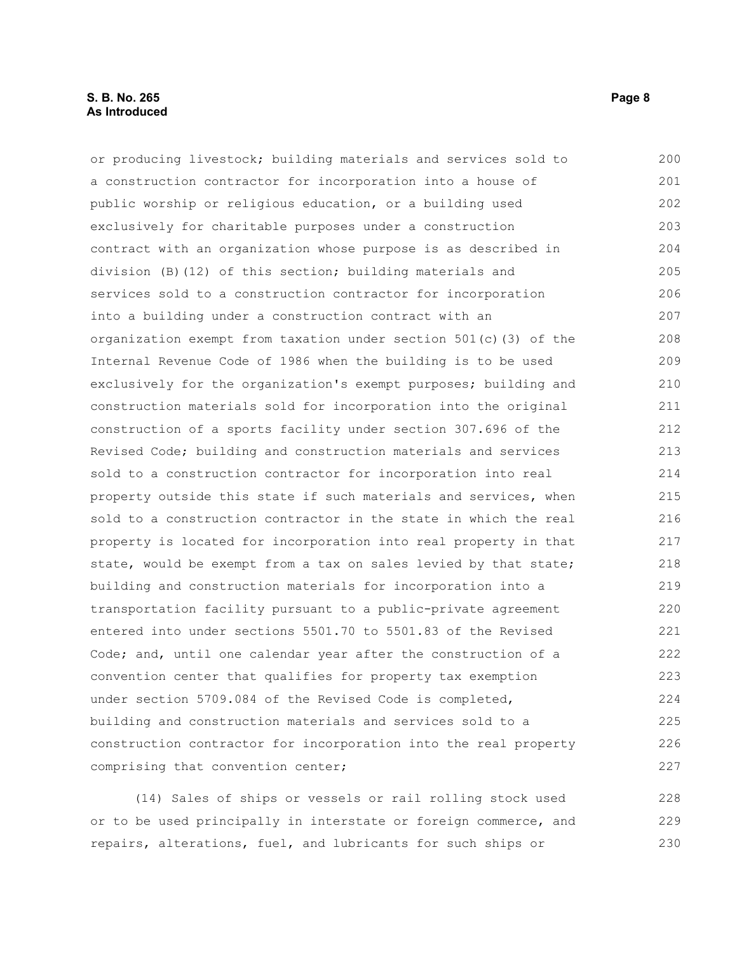#### **S. B. No. 265** Page 8 **As Introduced**

or producing livestock; building materials and services sold to a construction contractor for incorporation into a house of public worship or religious education, or a building used exclusively for charitable purposes under a construction contract with an organization whose purpose is as described in division (B)(12) of this section; building materials and services sold to a construction contractor for incorporation into a building under a construction contract with an organization exempt from taxation under section  $501(c)$  (3) of the Internal Revenue Code of 1986 when the building is to be used exclusively for the organization's exempt purposes; building and construction materials sold for incorporation into the original construction of a sports facility under section 307.696 of the Revised Code; building and construction materials and services sold to a construction contractor for incorporation into real property outside this state if such materials and services, when sold to a construction contractor in the state in which the real property is located for incorporation into real property in that state, would be exempt from a tax on sales levied by that state; building and construction materials for incorporation into a transportation facility pursuant to a public-private agreement entered into under sections 5501.70 to 5501.83 of the Revised Code; and, until one calendar year after the construction of a convention center that qualifies for property tax exemption under section 5709.084 of the Revised Code is completed, building and construction materials and services sold to a construction contractor for incorporation into the real property comprising that convention center; 200 201 202 203 204 205 206 207 208 209 210 211 212 213 214 215 216 217 218 219 220 221 222 223 224 225 226 227

(14) Sales of ships or vessels or rail rolling stock used or to be used principally in interstate or foreign commerce, and repairs, alterations, fuel, and lubricants for such ships or 228 229 230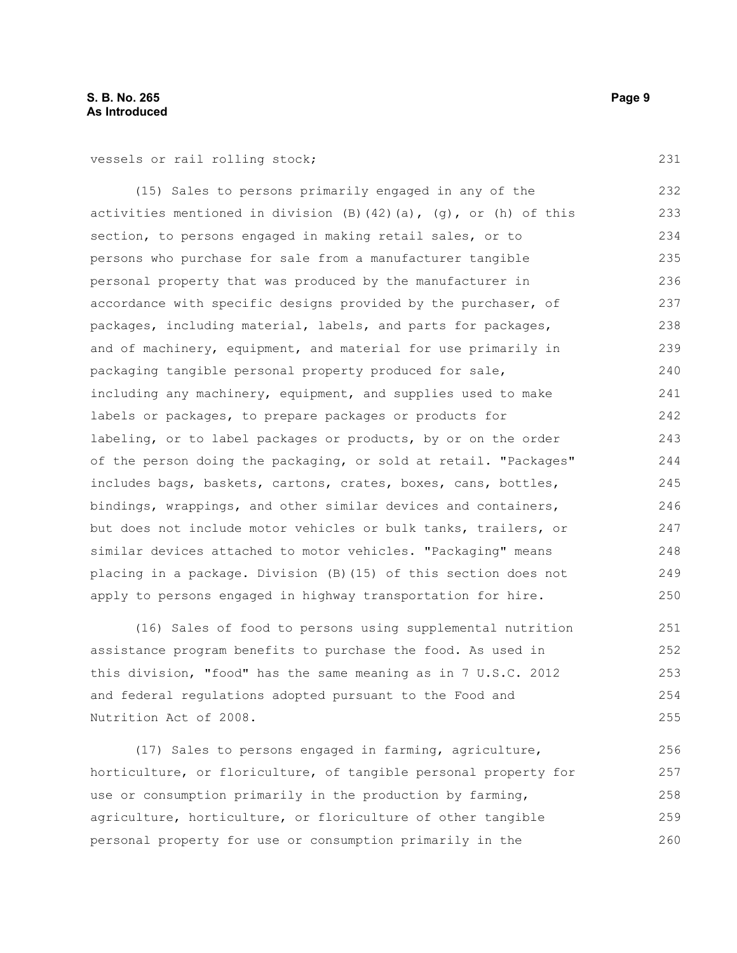vessels or rail rolling stock;

(15) Sales to persons primarily engaged in any of the activities mentioned in division  $(B)$   $(42)$   $(a)$ ,  $(g)$ , or  $(h)$  of this section, to persons engaged in making retail sales, or to persons who purchase for sale from a manufacturer tangible personal property that was produced by the manufacturer in accordance with specific designs provided by the purchaser, of packages, including material, labels, and parts for packages, and of machinery, equipment, and material for use primarily in packaging tangible personal property produced for sale, including any machinery, equipment, and supplies used to make labels or packages, to prepare packages or products for labeling, or to label packages or products, by or on the order of the person doing the packaging, or sold at retail. "Packages" includes bags, baskets, cartons, crates, boxes, cans, bottles, bindings, wrappings, and other similar devices and containers, but does not include motor vehicles or bulk tanks, trailers, or similar devices attached to motor vehicles. "Packaging" means placing in a package. Division (B)(15) of this section does not apply to persons engaged in highway transportation for hire. 232 233 234 235 236 237 238 239 240 241 242 243 244 245 246 247 248 249 250

(16) Sales of food to persons using supplemental nutrition assistance program benefits to purchase the food. As used in this division, "food" has the same meaning as in 7 U.S.C. 2012 and federal regulations adopted pursuant to the Food and Nutrition Act of 2008.

(17) Sales to persons engaged in farming, agriculture, horticulture, or floriculture, of tangible personal property for use or consumption primarily in the production by farming, agriculture, horticulture, or floriculture of other tangible personal property for use or consumption primarily in the 256 257 258 259 260

231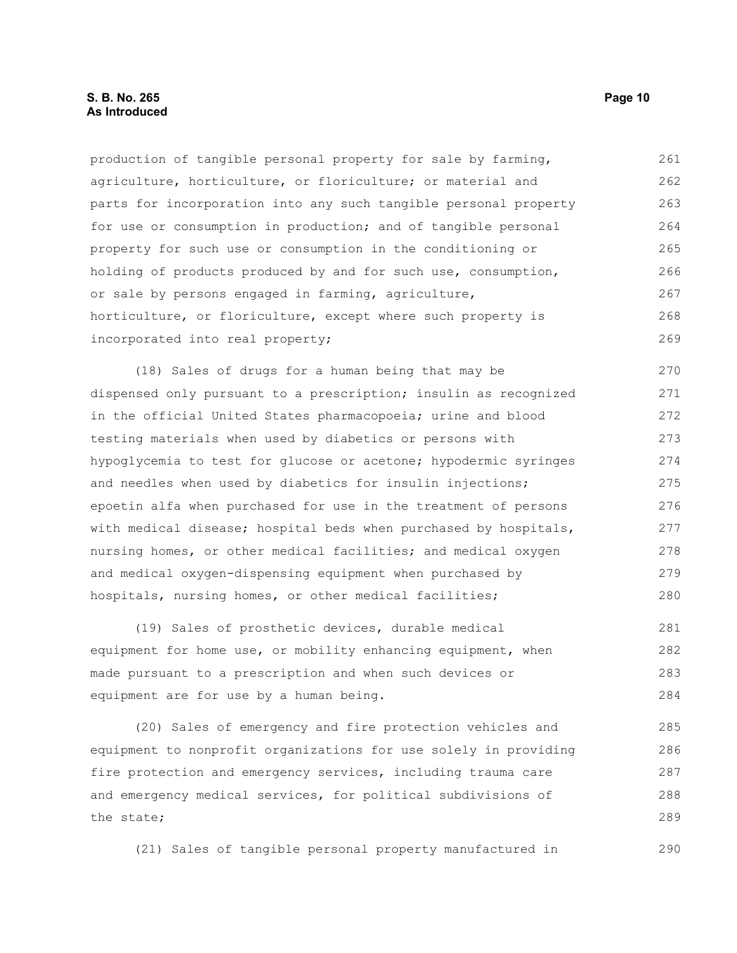production of tangible personal property for sale by farming, agriculture, horticulture, or floriculture; or material and parts for incorporation into any such tangible personal property for use or consumption in production; and of tangible personal property for such use or consumption in the conditioning or holding of products produced by and for such use, consumption, or sale by persons engaged in farming, agriculture, horticulture, or floriculture, except where such property is incorporated into real property; 261 262 263 264 265 266 267 268 269

(18) Sales of drugs for a human being that may be dispensed only pursuant to a prescription; insulin as recognized in the official United States pharmacopoeia; urine and blood testing materials when used by diabetics or persons with hypoglycemia to test for glucose or acetone; hypodermic syringes and needles when used by diabetics for insulin injections; epoetin alfa when purchased for use in the treatment of persons with medical disease; hospital beds when purchased by hospitals, nursing homes, or other medical facilities; and medical oxygen and medical oxygen-dispensing equipment when purchased by hospitals, nursing homes, or other medical facilities; 270 271 272 273 274 275 276 277 278 279 280

(19) Sales of prosthetic devices, durable medical equipment for home use, or mobility enhancing equipment, when made pursuant to a prescription and when such devices or equipment are for use by a human being. 281 282 283 284

(20) Sales of emergency and fire protection vehicles and equipment to nonprofit organizations for use solely in providing fire protection and emergency services, including trauma care and emergency medical services, for political subdivisions of the state; 285 286 287 288 289

(21) Sales of tangible personal property manufactured in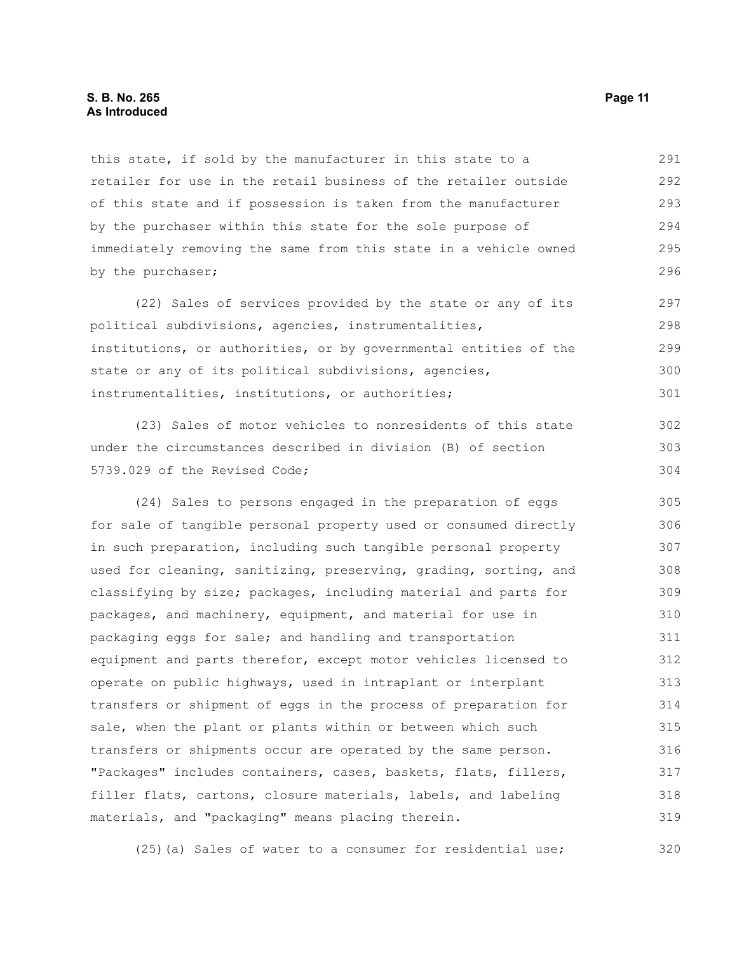this state, if sold by the manufacturer in this state to a retailer for use in the retail business of the retailer outside of this state and if possession is taken from the manufacturer by the purchaser within this state for the sole purpose of immediately removing the same from this state in a vehicle owned by the purchaser; 291 292 293 294 295 296

(22) Sales of services provided by the state or any of its political subdivisions, agencies, instrumentalities, institutions, or authorities, or by governmental entities of the state or any of its political subdivisions, agencies, instrumentalities, institutions, or authorities; 297 298 299 300 301

(23) Sales of motor vehicles to nonresidents of this state under the circumstances described in division (B) of section 5739.029 of the Revised Code;

(24) Sales to persons engaged in the preparation of eggs for sale of tangible personal property used or consumed directly in such preparation, including such tangible personal property used for cleaning, sanitizing, preserving, grading, sorting, and classifying by size; packages, including material and parts for packages, and machinery, equipment, and material for use in packaging eggs for sale; and handling and transportation equipment and parts therefor, except motor vehicles licensed to operate on public highways, used in intraplant or interplant transfers or shipment of eggs in the process of preparation for sale, when the plant or plants within or between which such transfers or shipments occur are operated by the same person. "Packages" includes containers, cases, baskets, flats, fillers, filler flats, cartons, closure materials, labels, and labeling materials, and "packaging" means placing therein. 305 306 307 308 309 310 311 312 313 314 315 316 317 318 319

(25)(a) Sales of water to a consumer for residential use; 320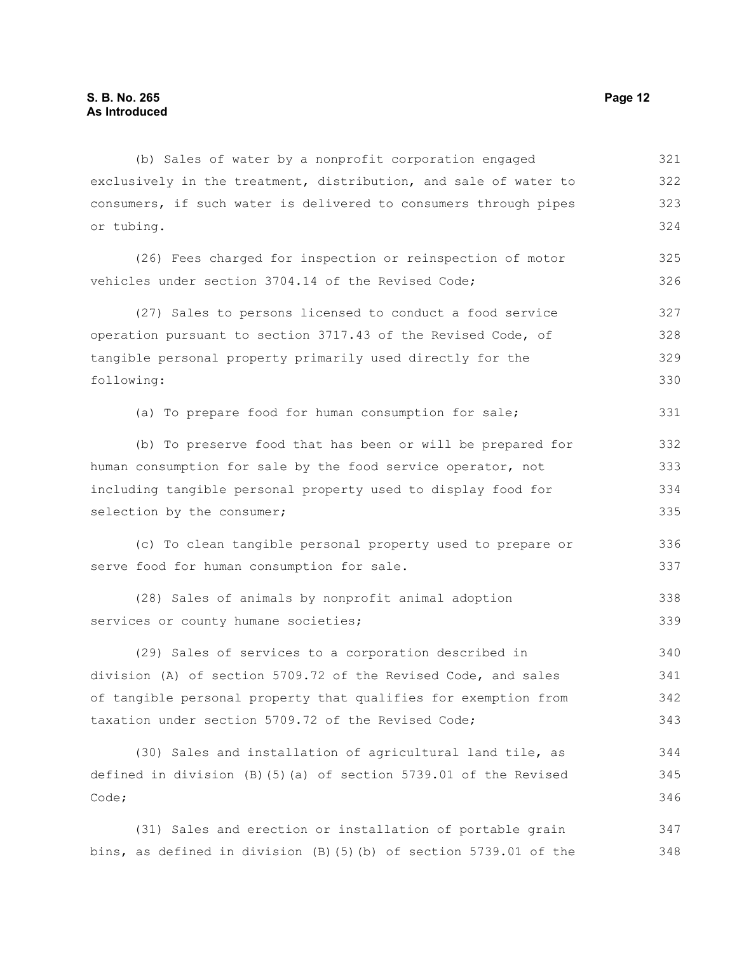(b) Sales of water by a nonprofit corporation engaged exclusively in the treatment, distribution, and sale of water to consumers, if such water is delivered to consumers through pipes or tubing. (26) Fees charged for inspection or reinspection of motor vehicles under section 3704.14 of the Revised Code; (27) Sales to persons licensed to conduct a food service operation pursuant to section 3717.43 of the Revised Code, of tangible personal property primarily used directly for the following: (a) To prepare food for human consumption for sale; (b) To preserve food that has been or will be prepared for human consumption for sale by the food service operator, not including tangible personal property used to display food for selection by the consumer; (c) To clean tangible personal property used to prepare or serve food for human consumption for sale. (28) Sales of animals by nonprofit animal adoption services or county humane societies; (29) Sales of services to a corporation described in division (A) of section 5709.72 of the Revised Code, and sales of tangible personal property that qualifies for exemption from taxation under section 5709.72 of the Revised Code; (30) Sales and installation of agricultural land tile, as defined in division (B)(5)(a) of section 5739.01 of the Revised Code; 321 322 323 324 325 326 327 328 329 330 331 332 333 334 335 336 337 338 339 340 341 342 343 344 345 346

(31) Sales and erection or installation of portable grain bins, as defined in division (B)(5)(b) of section 5739.01 of the 347 348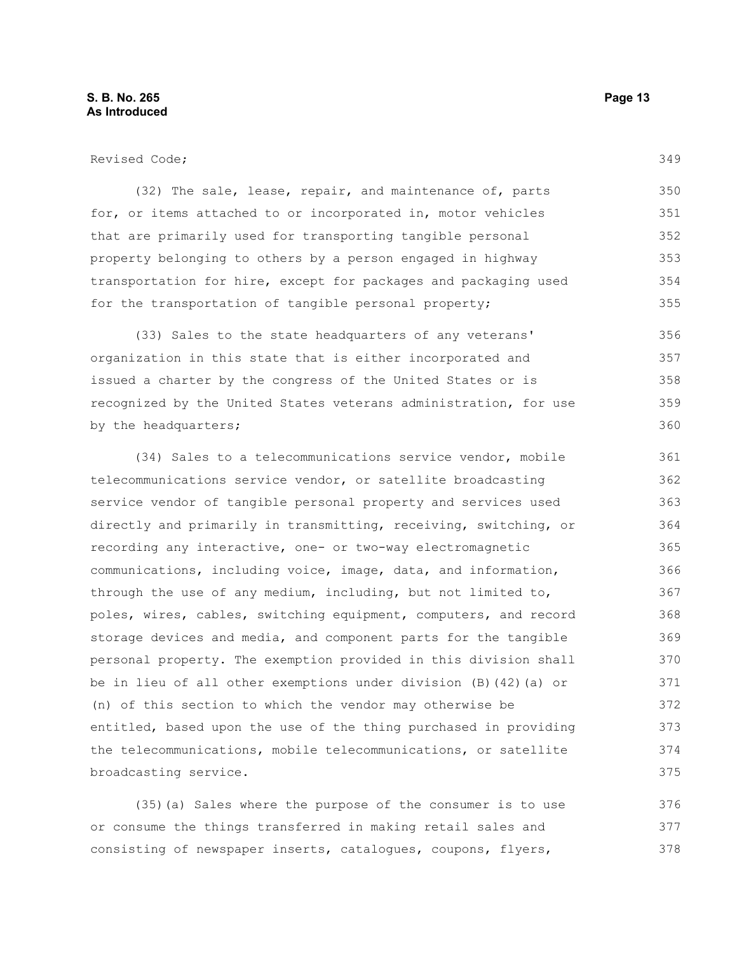(32) The sale, lease, repair, and maintenance of, parts for, or items attached to or incorporated in, motor vehicles that are primarily used for transporting tangible personal property belonging to others by a person engaged in highway transportation for hire, except for packages and packaging used for the transportation of tangible personal property; 350 351 352 353 354 355

(33) Sales to the state headquarters of any veterans' organization in this state that is either incorporated and issued a charter by the congress of the United States or is recognized by the United States veterans administration, for use by the headquarters; 356 357 358 359 360

(34) Sales to a telecommunications service vendor, mobile telecommunications service vendor, or satellite broadcasting service vendor of tangible personal property and services used directly and primarily in transmitting, receiving, switching, or recording any interactive, one- or two-way electromagnetic communications, including voice, image, data, and information, through the use of any medium, including, but not limited to, poles, wires, cables, switching equipment, computers, and record storage devices and media, and component parts for the tangible personal property. The exemption provided in this division shall be in lieu of all other exemptions under division (B)(42)(a) or (n) of this section to which the vendor may otherwise be entitled, based upon the use of the thing purchased in providing the telecommunications, mobile telecommunications, or satellite broadcasting service. 361 362 363 364 365 366 367 368 369 370 371 372 373 374 375

(35)(a) Sales where the purpose of the consumer is to use or consume the things transferred in making retail sales and consisting of newspaper inserts, catalogues, coupons, flyers, 376 377 378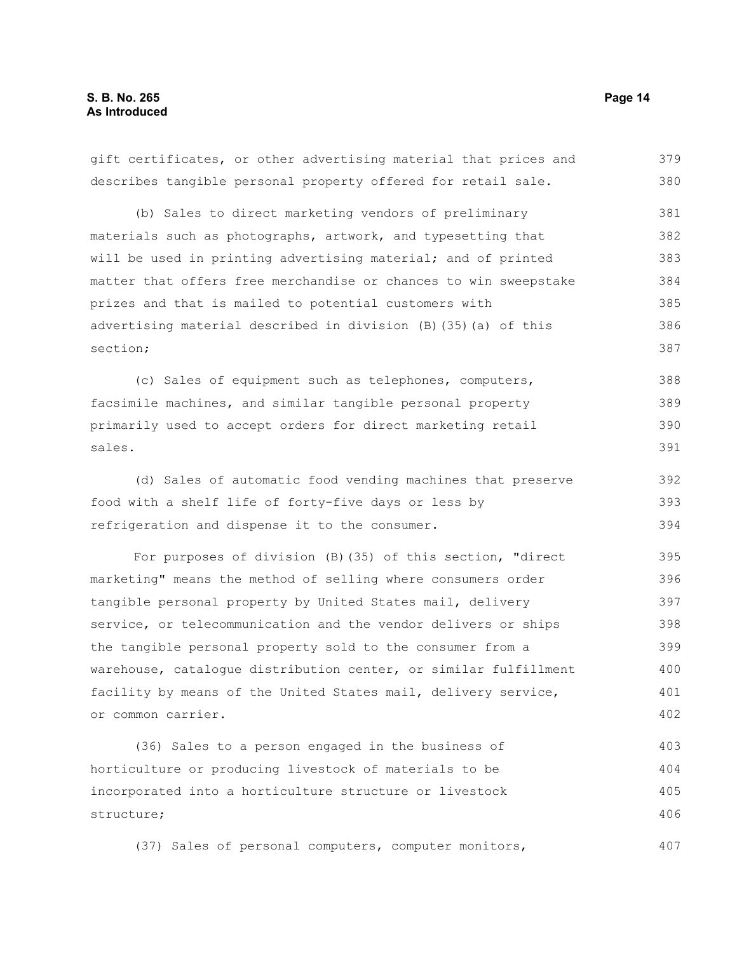gift certificates, or other advertising material that prices and describes tangible personal property offered for retail sale. (b) Sales to direct marketing vendors of preliminary materials such as photographs, artwork, and typesetting that will be used in printing advertising material; and of printed matter that offers free merchandise or chances to win sweepstake prizes and that is mailed to potential customers with advertising material described in division (B)(35)(a) of this section; (c) Sales of equipment such as telephones, computers, facsimile machines, and similar tangible personal property primarily used to accept orders for direct marketing retail sales. (d) Sales of automatic food vending machines that preserve food with a shelf life of forty-five days or less by refrigeration and dispense it to the consumer. For purposes of division (B)(35) of this section, "direct marketing" means the method of selling where consumers order tangible personal property by United States mail, delivery service, or telecommunication and the vendor delivers or ships the tangible personal property sold to the consumer from a warehouse, catalogue distribution center, or similar fulfillment facility by means of the United States mail, delivery service, or common carrier. (36) Sales to a person engaged in the business of 379 380 381 382 383 384 385 386 387 388 389 390 391 392 393 394 395 396 397 398 399 400 401 402 403

horticulture or producing livestock of materials to be incorporated into a horticulture structure or livestock structure; 404 405 406

(37) Sales of personal computers, computer monitors,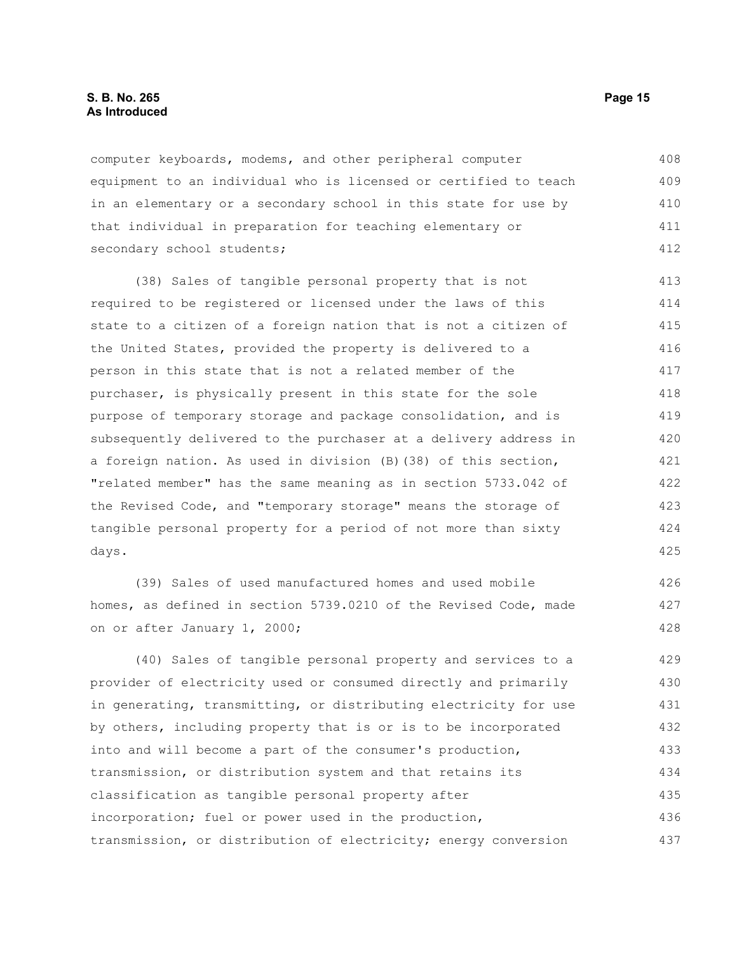#### **S. B. No. 265 Page 15 As Introduced**

computer keyboards, modems, and other peripheral computer equipment to an individual who is licensed or certified to teach in an elementary or a secondary school in this state for use by that individual in preparation for teaching elementary or secondary school students; 408 409 410 411 412

(38) Sales of tangible personal property that is not required to be registered or licensed under the laws of this state to a citizen of a foreign nation that is not a citizen of the United States, provided the property is delivered to a person in this state that is not a related member of the purchaser, is physically present in this state for the sole purpose of temporary storage and package consolidation, and is subsequently delivered to the purchaser at a delivery address in a foreign nation. As used in division (B)(38) of this section, "related member" has the same meaning as in section 5733.042 of the Revised Code, and "temporary storage" means the storage of tangible personal property for a period of not more than sixty days. 413 414 415 416 417 418 419 420 421 422 423 424 425

(39) Sales of used manufactured homes and used mobile homes, as defined in section 5739.0210 of the Revised Code, made on or after January 1, 2000;

(40) Sales of tangible personal property and services to a provider of electricity used or consumed directly and primarily in generating, transmitting, or distributing electricity for use by others, including property that is or is to be incorporated into and will become a part of the consumer's production, transmission, or distribution system and that retains its classification as tangible personal property after incorporation; fuel or power used in the production, transmission, or distribution of electricity; energy conversion 429 430 431 432 433 434 435 436 437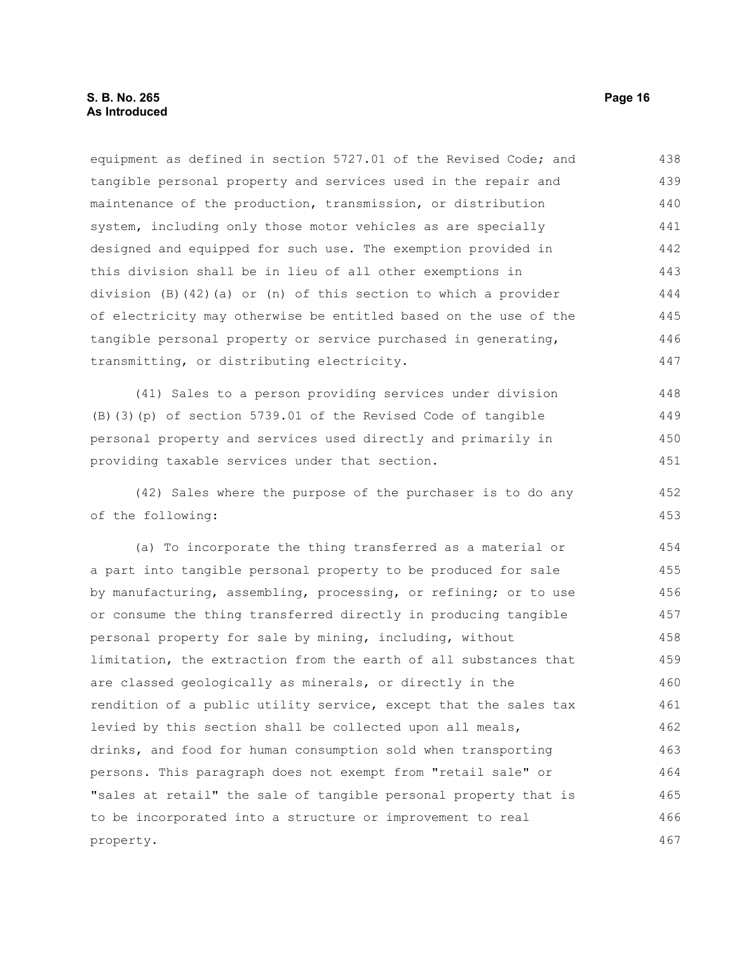equipment as defined in section 5727.01 of the Revised Code; and tangible personal property and services used in the repair and maintenance of the production, transmission, or distribution system, including only those motor vehicles as are specially designed and equipped for such use. The exemption provided in this division shall be in lieu of all other exemptions in division  $(B)$  (42)(a) or (n) of this section to which a provider of electricity may otherwise be entitled based on the use of the tangible personal property or service purchased in generating, transmitting, or distributing electricity. 438 439 440 441 442 443 444 445 446 447

(41) Sales to a person providing services under division (B)(3)(p) of section 5739.01 of the Revised Code of tangible personal property and services used directly and primarily in providing taxable services under that section. 448 449 450 451

(42) Sales where the purpose of the purchaser is to do any of the following:

(a) To incorporate the thing transferred as a material or a part into tangible personal property to be produced for sale by manufacturing, assembling, processing, or refining; or to use or consume the thing transferred directly in producing tangible personal property for sale by mining, including, without limitation, the extraction from the earth of all substances that are classed geologically as minerals, or directly in the rendition of a public utility service, except that the sales tax levied by this section shall be collected upon all meals, drinks, and food for human consumption sold when transporting persons. This paragraph does not exempt from "retail sale" or "sales at retail" the sale of tangible personal property that is to be incorporated into a structure or improvement to real property. 454 455 456 457 458 459 460 461 462 463 464 465 466 467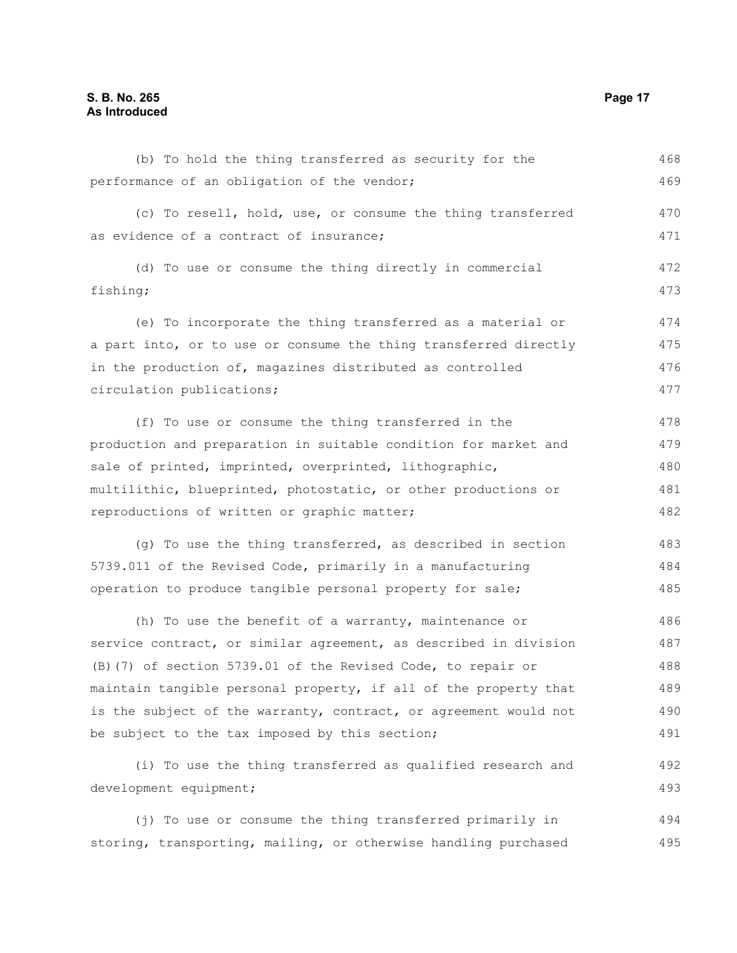| (b) To hold the thing transferred as security for the            | 468 |
|------------------------------------------------------------------|-----|
| performance of an obligation of the vendor;                      | 469 |
| (c) To resell, hold, use, or consume the thing transferred       | 470 |
| as evidence of a contract of insurance;                          | 471 |
| (d) To use or consume the thing directly in commercial           | 472 |
| fishing;                                                         | 473 |
| (e) To incorporate the thing transferred as a material or        | 474 |
| a part into, or to use or consume the thing transferred directly | 475 |
| in the production of, magazines distributed as controlled        | 476 |
| circulation publications;                                        | 477 |
| (f) To use or consume the thing transferred in the               | 478 |
| production and preparation in suitable condition for market and  | 479 |
| sale of printed, imprinted, overprinted, lithographic,           | 480 |
| multilithic, blueprinted, photostatic, or other productions or   | 481 |
| reproductions of written or graphic matter;                      | 482 |
| (g) To use the thing transferred, as described in section        | 483 |
| 5739.011 of the Revised Code, primarily in a manufacturing       | 484 |
| operation to produce tangible personal property for sale;        | 485 |
| (h) To use the benefit of a warranty, maintenance or             | 486 |
| service contract, or similar agreement, as described in division | 487 |
| (B) (7) of section 5739.01 of the Revised Code, to repair or     | 488 |
| maintain tangible personal property, if all of the property that | 489 |
| is the subject of the warranty, contract, or agreement would not | 490 |
| be subject to the tax imposed by this section;                   | 491 |
| (i) To use the thing transferred as qualified research and       | 492 |
| development equipment;                                           | 493 |
|                                                                  |     |

(j) To use or consume the thing transferred primarily in storing, transporting, mailing, or otherwise handling purchased 494 495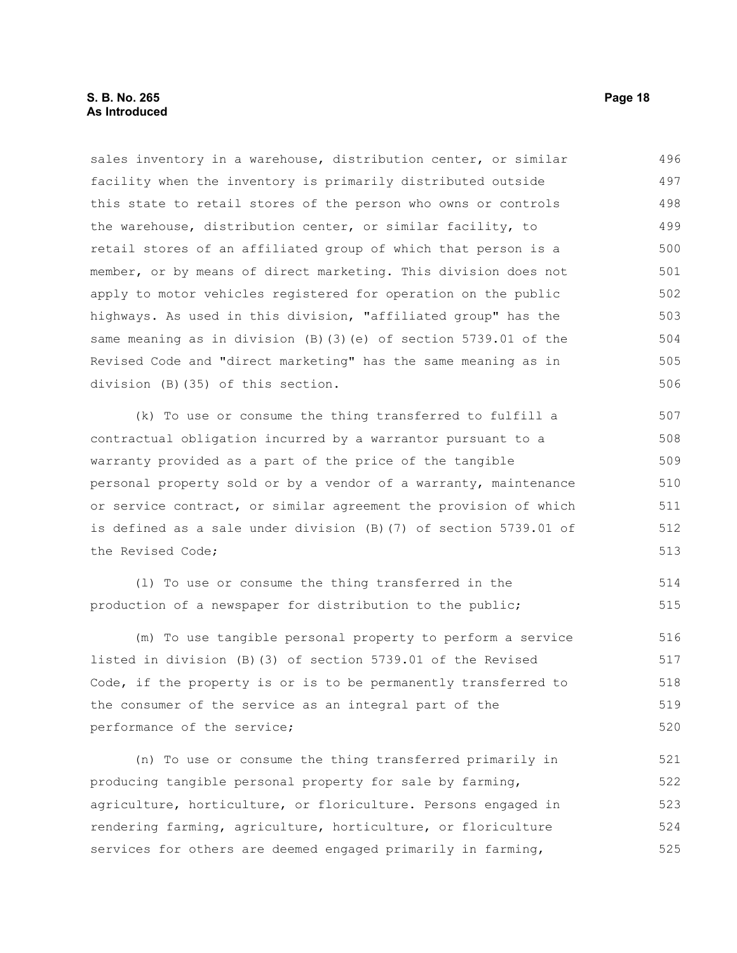#### **S. B. No. 265 Page 18 As Introduced**

sales inventory in a warehouse, distribution center, or similar facility when the inventory is primarily distributed outside this state to retail stores of the person who owns or controls the warehouse, distribution center, or similar facility, to retail stores of an affiliated group of which that person is a member, or by means of direct marketing. This division does not apply to motor vehicles registered for operation on the public highways. As used in this division, "affiliated group" has the same meaning as in division (B)(3)(e) of section 5739.01 of the Revised Code and "direct marketing" has the same meaning as in division (B)(35) of this section. 496 497 498 499 500 501 502 503 504 505 506

(k) To use or consume the thing transferred to fulfill a contractual obligation incurred by a warrantor pursuant to a warranty provided as a part of the price of the tangible personal property sold or by a vendor of a warranty, maintenance or service contract, or similar agreement the provision of which is defined as a sale under division (B)(7) of section 5739.01 of the Revised Code;

(l) To use or consume the thing transferred in the production of a newspaper for distribution to the public; 514 515

(m) To use tangible personal property to perform a service listed in division (B)(3) of section 5739.01 of the Revised Code, if the property is or is to be permanently transferred to the consumer of the service as an integral part of the performance of the service; 516 517 518 519 520

(n) To use or consume the thing transferred primarily in producing tangible personal property for sale by farming, agriculture, horticulture, or floriculture. Persons engaged in rendering farming, agriculture, horticulture, or floriculture services for others are deemed engaged primarily in farming, 521 522 523 524 525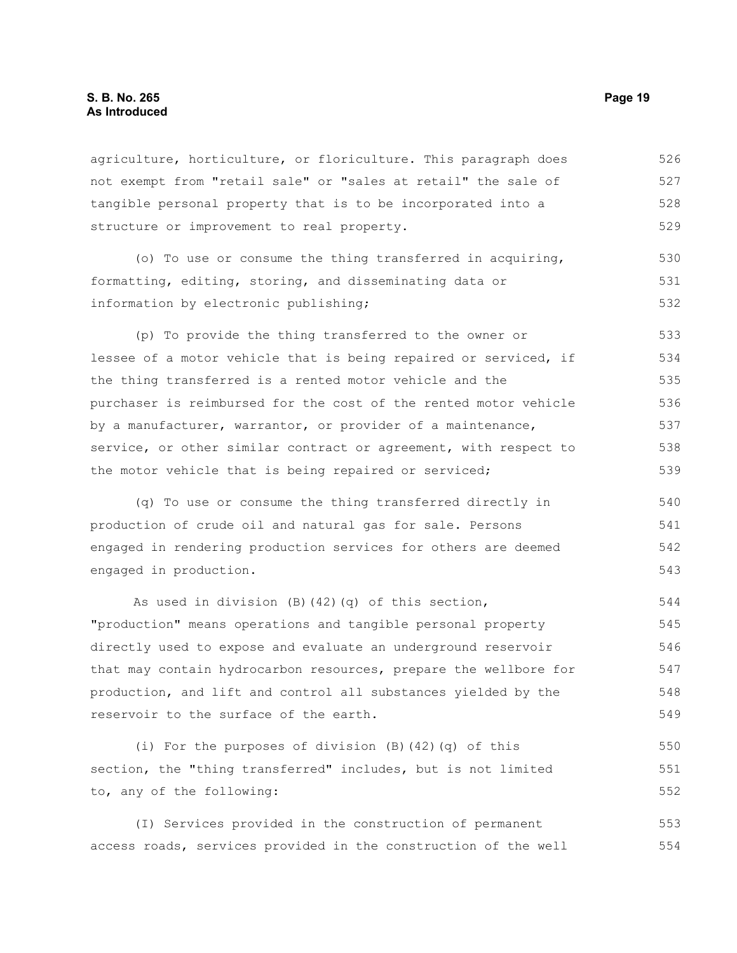agriculture, horticulture, or floriculture. This paragraph does not exempt from "retail sale" or "sales at retail" the sale of tangible personal property that is to be incorporated into a structure or improvement to real property. 526 527 528 529

(o) To use or consume the thing transferred in acquiring, formatting, editing, storing, and disseminating data or information by electronic publishing; 530 531 532

(p) To provide the thing transferred to the owner or lessee of a motor vehicle that is being repaired or serviced, if the thing transferred is a rented motor vehicle and the purchaser is reimbursed for the cost of the rented motor vehicle by a manufacturer, warrantor, or provider of a maintenance, service, or other similar contract or agreement, with respect to the motor vehicle that is being repaired or serviced; 533 534 535 536 537 538 539

(q) To use or consume the thing transferred directly in production of crude oil and natural gas for sale. Persons engaged in rendering production services for others are deemed engaged in production. 540 541 542 543

As used in division (B)(42)(q) of this section, "production" means operations and tangible personal property directly used to expose and evaluate an underground reservoir that may contain hydrocarbon resources, prepare the wellbore for production, and lift and control all substances yielded by the reservoir to the surface of the earth. 544 545 546 547 548 549

(i) For the purposes of division (B)(42)(q) of this section, the "thing transferred" includes, but is not limited to, any of the following: 550 551 552

(I) Services provided in the construction of permanent access roads, services provided in the construction of the well 553 554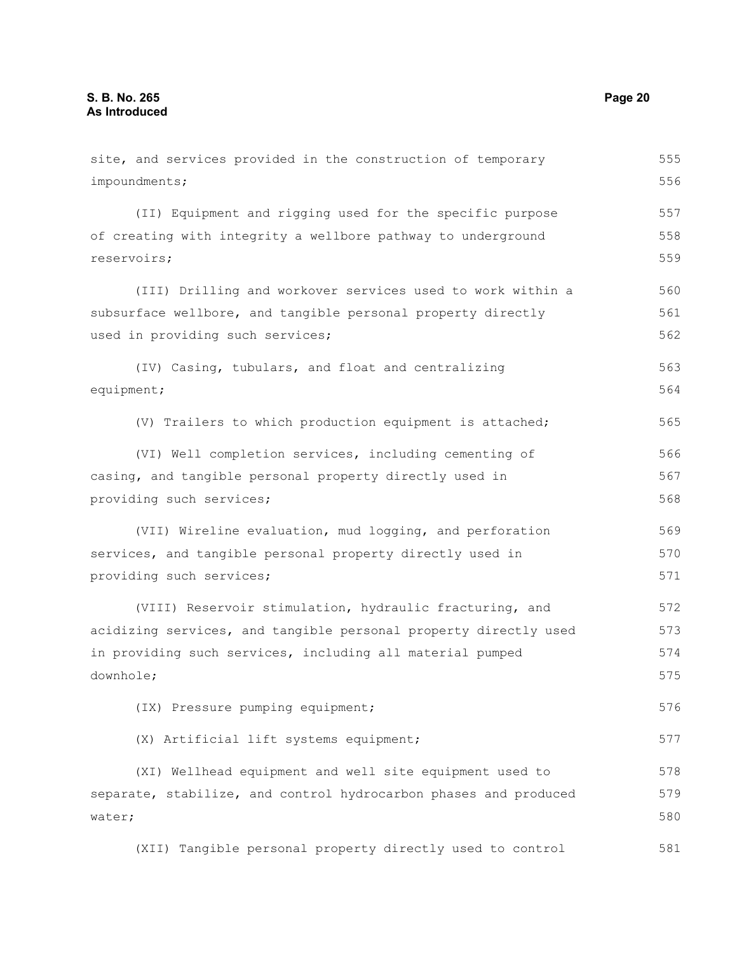site, and services provided in the construction of temporary impoundments; (II) Equipment and rigging used for the specific purpose of creating with integrity a wellbore pathway to underground reservoirs; (III) Drilling and workover services used to work within a subsurface wellbore, and tangible personal property directly used in providing such services; (IV) Casing, tubulars, and float and centralizing equipment; (V) Trailers to which production equipment is attached; (VI) Well completion services, including cementing of casing, and tangible personal property directly used in providing such services; (VII) Wireline evaluation, mud logging, and perforation services, and tangible personal property directly used in providing such services; (VIII) Reservoir stimulation, hydraulic fracturing, and acidizing services, and tangible personal property directly used in providing such services, including all material pumped downhole; (IX) Pressure pumping equipment; (X) Artificial lift systems equipment; (XI) Wellhead equipment and well site equipment used to separate, stabilize, and control hydrocarbon phases and produced water; (XII) Tangible personal property directly used to control 555 556 557 558 559 560 561 562 563 564 565 566 567 568 569 570 571 572 573 574 575 576 577 578 579 580 581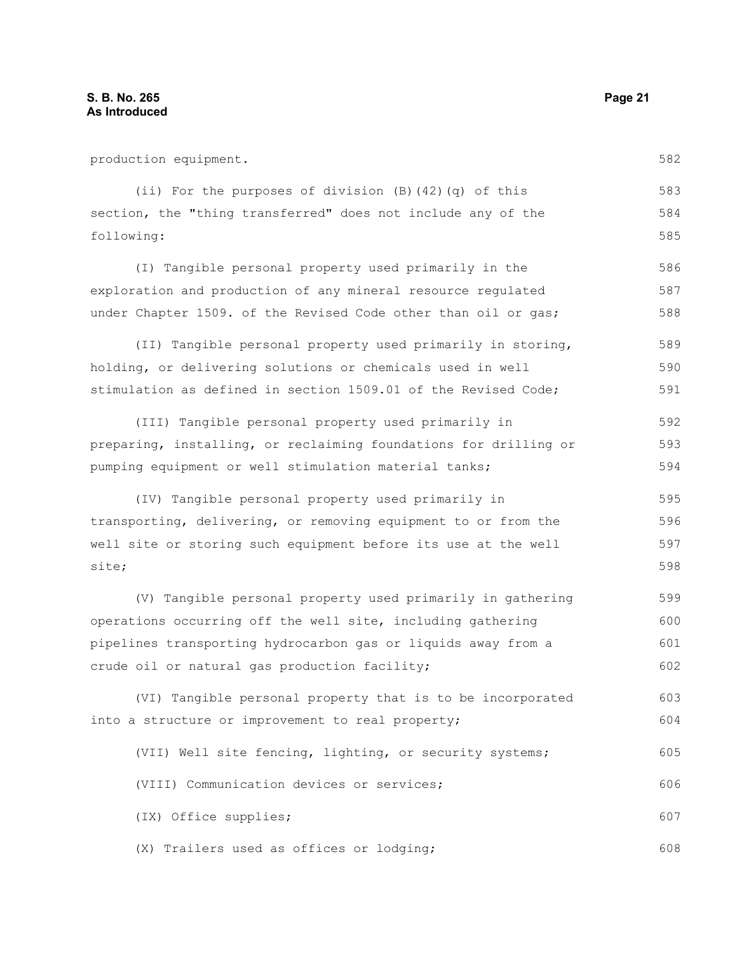production equipment. (ii) For the purposes of division (B)(42)(q) of this section, the "thing transferred" does not include any of the following: (I) Tangible personal property used primarily in the exploration and production of any mineral resource regulated under Chapter 1509. of the Revised Code other than oil or gas; (II) Tangible personal property used primarily in storing, holding, or delivering solutions or chemicals used in well stimulation as defined in section 1509.01 of the Revised Code; (III) Tangible personal property used primarily in preparing, installing, or reclaiming foundations for drilling or pumping equipment or well stimulation material tanks; (IV) Tangible personal property used primarily in transporting, delivering, or removing equipment to or from the well site or storing such equipment before its use at the well site; (V) Tangible personal property used primarily in gathering operations occurring off the well site, including gathering pipelines transporting hydrocarbon gas or liquids away from a crude oil or natural gas production facility; (VI) Tangible personal property that is to be incorporated into a structure or improvement to real property; (VII) Well site fencing, lighting, or security systems; 583 584 585 586 587 588 589 590 591 592 593 594 595 596 597 598 599 600 601 602 603 604 605

(VIII) Communication devices or services; (IX) Office supplies; (X) Trailers used as offices or lodging; 606 607 608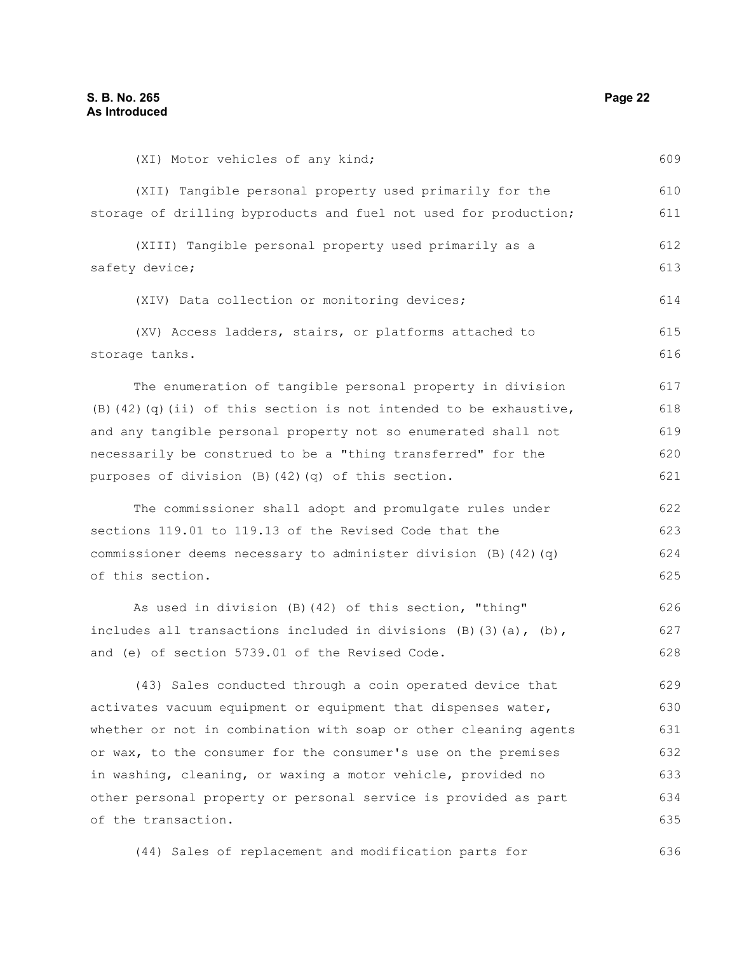(XI) Motor vehicles of any kind; (XII) Tangible personal property used primarily for the storage of drilling byproducts and fuel not used for production; (XIII) Tangible personal property used primarily as a safety device; (XIV) Data collection or monitoring devices; (XV) Access ladders, stairs, or platforms attached to storage tanks. The enumeration of tangible personal property in division (B)(42)(q)(ii) of this section is not intended to be exhaustive, and any tangible personal property not so enumerated shall not necessarily be construed to be a "thing transferred" for the purposes of division (B)(42)(q) of this section. The commissioner shall adopt and promulgate rules under sections 119.01 to 119.13 of the Revised Code that the commissioner deems necessary to administer division (B)(42)(q) of this section. As used in division (B)(42) of this section, "thing" includes all transactions included in divisions  $(B)$   $(3)$   $(a)$ ,  $(b)$ , and (e) of section 5739.01 of the Revised Code. (43) Sales conducted through a coin operated device that activates vacuum equipment or equipment that dispenses water, whether or not in combination with soap or other cleaning agents or wax, to the consumer for the consumer's use on the premises in washing, cleaning, or waxing a motor vehicle, provided no other personal property or personal service is provided as part of the transaction. 609 610 611 612 613 614 615 616 617 618 619 620 621 622 623 624 625 626 627 628 629 630 631 632 633 634 635

(44) Sales of replacement and modification parts for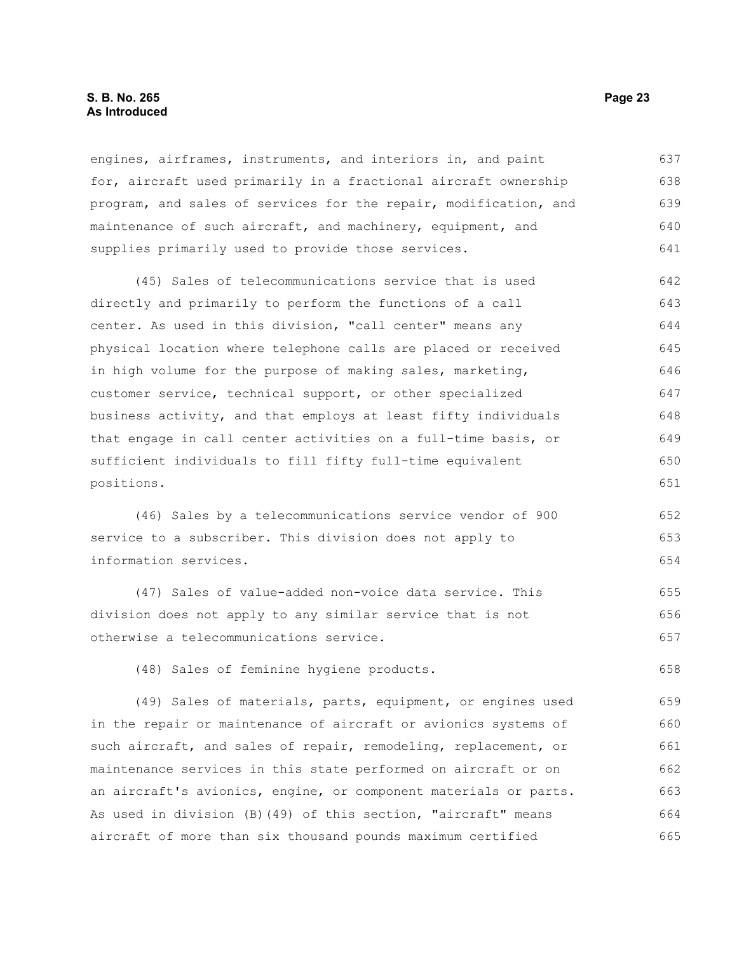#### **S. B. No. 265 Page 23 As Introduced**

engines, airframes, instruments, and interiors in, and paint for, aircraft used primarily in a fractional aircraft ownership program, and sales of services for the repair, modification, and maintenance of such aircraft, and machinery, equipment, and supplies primarily used to provide those services. 637 638 639 640 641

(45) Sales of telecommunications service that is used directly and primarily to perform the functions of a call center. As used in this division, "call center" means any physical location where telephone calls are placed or received in high volume for the purpose of making sales, marketing, customer service, technical support, or other specialized business activity, and that employs at least fifty individuals that engage in call center activities on a full-time basis, or sufficient individuals to fill fifty full-time equivalent positions. 642 643 644 645 646 647 648 649 650 651

(46) Sales by a telecommunications service vendor of 900 service to a subscriber. This division does not apply to information services. 652 653 654

(47) Sales of value-added non-voice data service. This division does not apply to any similar service that is not otherwise a telecommunications service. 655 656 657

(48) Sales of feminine hygiene products.

(49) Sales of materials, parts, equipment, or engines used in the repair or maintenance of aircraft or avionics systems of such aircraft, and sales of repair, remodeling, replacement, or maintenance services in this state performed on aircraft or on an aircraft's avionics, engine, or component materials or parts. As used in division (B)(49) of this section, "aircraft" means aircraft of more than six thousand pounds maximum certified 659 660 661 662 663 664 665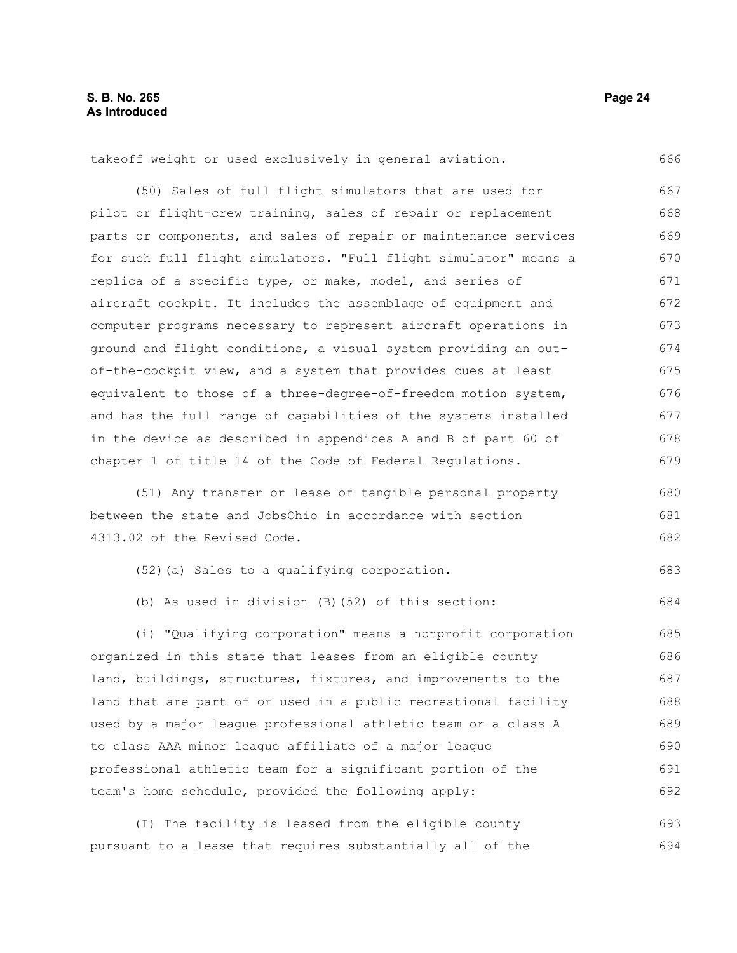takeoff weight or used exclusively in general aviation. 666

(50) Sales of full flight simulators that are used for pilot or flight-crew training, sales of repair or replacement parts or components, and sales of repair or maintenance services for such full flight simulators. "Full flight simulator" means a replica of a specific type, or make, model, and series of aircraft cockpit. It includes the assemblage of equipment and computer programs necessary to represent aircraft operations in ground and flight conditions, a visual system providing an outof-the-cockpit view, and a system that provides cues at least equivalent to those of a three-degree-of-freedom motion system, and has the full range of capabilities of the systems installed in the device as described in appendices A and B of part 60 of chapter 1 of title 14 of the Code of Federal Regulations. 667 668 669 670 671 672 673 674 675 676 677 678 679

(51) Any transfer or lease of tangible personal property between the state and JobsOhio in accordance with section 4313.02 of the Revised Code.

(52)(a) Sales to a qualifying corporation. 683

(b) As used in division (B)(52) of this section:

(i) "Qualifying corporation" means a nonprofit corporation organized in this state that leases from an eligible county land, buildings, structures, fixtures, and improvements to the land that are part of or used in a public recreational facility used by a major league professional athletic team or a class A to class AAA minor league affiliate of a major league professional athletic team for a significant portion of the team's home schedule, provided the following apply: 685 686 687 688 689 690 691 692

(I) The facility is leased from the eligible county pursuant to a lease that requires substantially all of the 693 694

680 681 682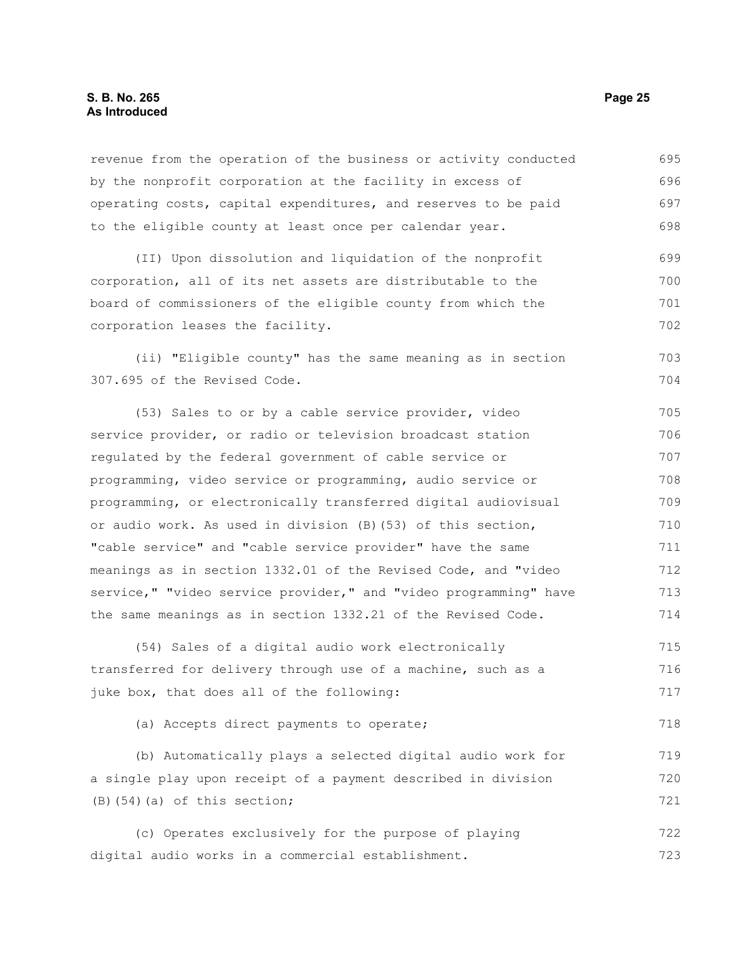#### **S. B. No. 265 Page 25 As Introduced**

revenue from the operation of the business or activity conducted by the nonprofit corporation at the facility in excess of operating costs, capital expenditures, and reserves to be paid to the eligible county at least once per calendar year. 695 696 697 698

(II) Upon dissolution and liquidation of the nonprofit corporation, all of its net assets are distributable to the board of commissioners of the eligible county from which the corporation leases the facility. 699 700 701 702

(ii) "Eligible county" has the same meaning as in section 307.695 of the Revised Code.

(53) Sales to or by a cable service provider, video service provider, or radio or television broadcast station regulated by the federal government of cable service or programming, video service or programming, audio service or programming, or electronically transferred digital audiovisual or audio work. As used in division (B)(53) of this section, "cable service" and "cable service provider" have the same meanings as in section 1332.01 of the Revised Code, and "video service," "video service provider," and "video programming" have the same meanings as in section 1332.21 of the Revised Code. 705 706 707 708 709 710 711 712 713 714

(54) Sales of a digital audio work electronically transferred for delivery through use of a machine, such as a juke box, that does all of the following: 715 716 717

(a) Accepts direct payments to operate;

(b) Automatically plays a selected digital audio work for a single play upon receipt of a payment described in division  $(B)$ (54)(a) of this section; 719 720 721

(c) Operates exclusively for the purpose of playing digital audio works in a commercial establishment. 722 723

703 704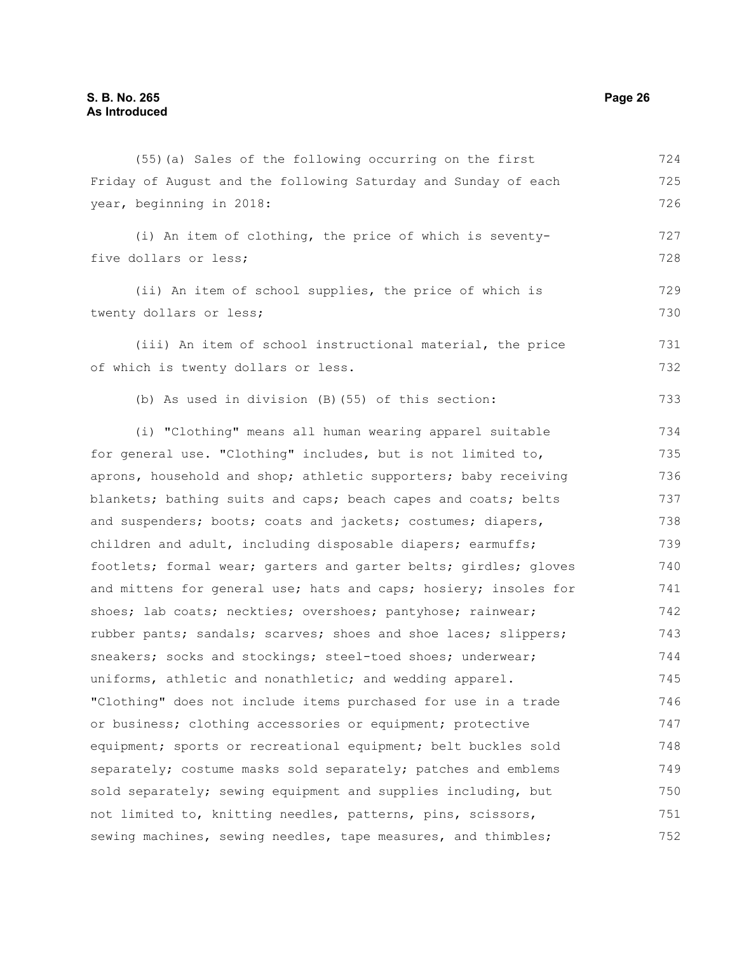Friday of August and the following Saturday and Sunday of each year, beginning in 2018: (i) An item of clothing, the price of which is seventyfive dollars or less; (ii) An item of school supplies, the price of which is twenty dollars or less; (iii) An item of school instructional material, the price of which is twenty dollars or less. (b) As used in division (B)(55) of this section: (i) "Clothing" means all human wearing apparel suitable for general use. "Clothing" includes, but is not limited to, aprons, household and shop; athletic supporters; baby receiving blankets; bathing suits and caps; beach capes and coats; belts and suspenders; boots; coats and jackets; costumes; diapers, children and adult, including disposable diapers; earmuffs; footlets; formal wear; garters and garter belts; girdles; gloves and mittens for general use; hats and caps; hosiery; insoles for shoes; lab coats; neckties; overshoes; pantyhose; rainwear; rubber pants; sandals; scarves; shoes and shoe laces; slippers; sneakers; socks and stockings; steel-toed shoes; underwear; uniforms, athletic and nonathletic; and wedding apparel. "Clothing" does not include items purchased for use in a trade or business; clothing accessories or equipment; protective equipment; sports or recreational equipment; belt buckles sold separately; costume masks sold separately; patches and emblems sold separately; sewing equipment and supplies including, but not limited to, knitting needles, patterns, pins, scissors, 725 726 727 728 729 730 731 732 733 734 735 736 737 738 739 740 741 742 743 744 745 746 747 748 749 750 751

sewing machines, sewing needles, tape measures, and thimbles;

(55)(a) Sales of the following occurring on the first

724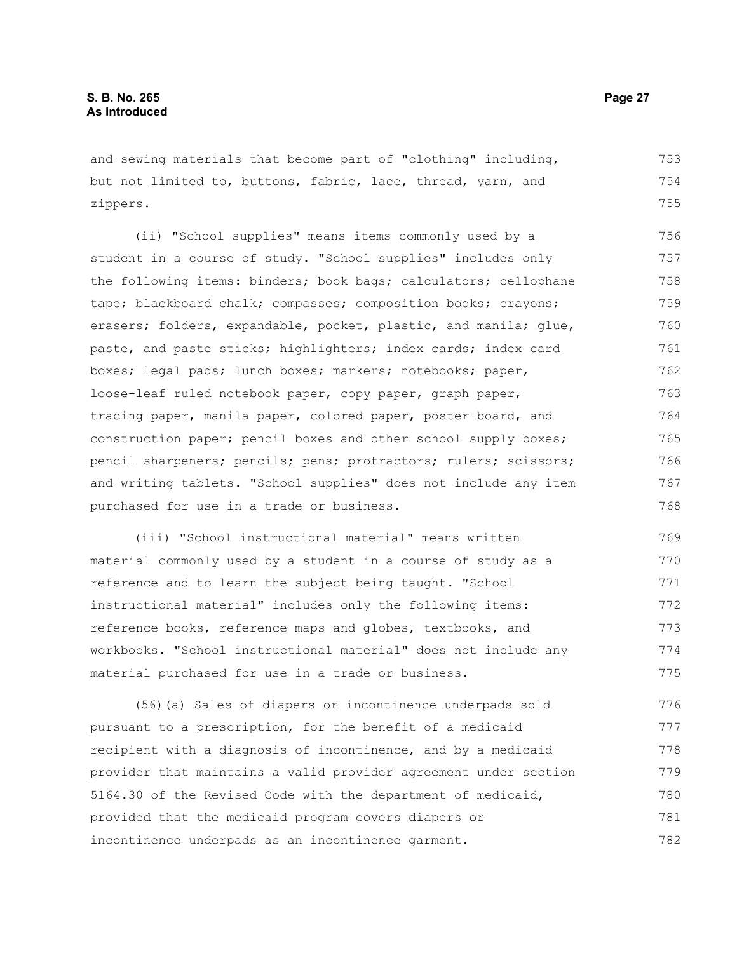and sewing materials that become part of "clothing" including, but not limited to, buttons, fabric, lace, thread, yarn, and zippers.

(ii) "School supplies" means items commonly used by a student in a course of study. "School supplies" includes only the following items: binders; book bags; calculators; cellophane tape; blackboard chalk; compasses; composition books; crayons; erasers; folders, expandable, pocket, plastic, and manila; qlue, paste, and paste sticks; highlighters; index cards; index card boxes; legal pads; lunch boxes; markers; notebooks; paper, loose-leaf ruled notebook paper, copy paper, graph paper, tracing paper, manila paper, colored paper, poster board, and construction paper; pencil boxes and other school supply boxes; pencil sharpeners; pencils; pens; protractors; rulers; scissors; and writing tablets. "School supplies" does not include any item purchased for use in a trade or business. 756 757 758 759 760 761 762 763 764 765 766 767 768

(iii) "School instructional material" means written material commonly used by a student in a course of study as a reference and to learn the subject being taught. "School instructional material" includes only the following items: reference books, reference maps and globes, textbooks, and workbooks. "School instructional material" does not include any material purchased for use in a trade or business. 769 770 771 772 773 774 775

(56)(a) Sales of diapers or incontinence underpads sold pursuant to a prescription, for the benefit of a medicaid recipient with a diagnosis of incontinence, and by a medicaid provider that maintains a valid provider agreement under section 5164.30 of the Revised Code with the department of medicaid, provided that the medicaid program covers diapers or incontinence underpads as an incontinence garment. 776 777 778 779 780 781 782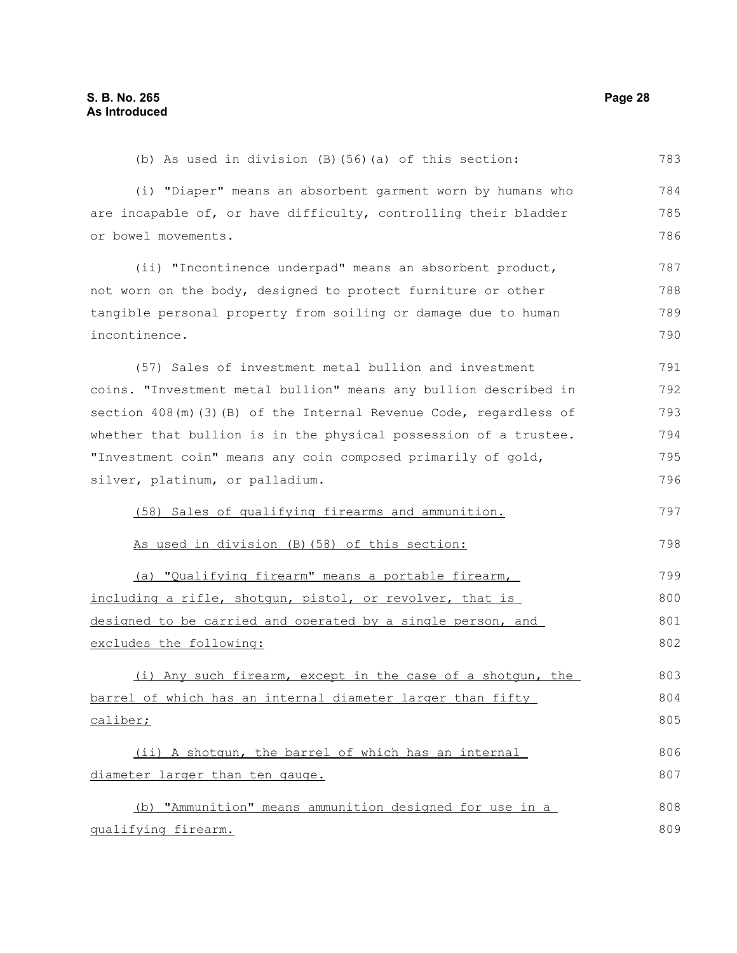(b) As used in division (B)(56)(a) of this section: (i) "Diaper" means an absorbent garment worn by humans who are incapable of, or have difficulty, controlling their bladder or bowel movements. (ii) "Incontinence underpad" means an absorbent product, not worn on the body, designed to protect furniture or other tangible personal property from soiling or damage due to human incontinence. (57) Sales of investment metal bullion and investment coins. "Investment metal bullion" means any bullion described in section 408(m)(3)(B) of the Internal Revenue Code, regardless of whether that bullion is in the physical possession of a trustee. "Investment coin" means any coin composed primarily of gold, silver, platinum, or palladium. (58) Sales of qualifying firearms and ammunition. As used in division (B)(58) of this section: (a) "Qualifying firearm" means a portable firearm, including a rifle, shotgun, pistol, or revolver, that is designed to be carried and operated by a single person, and excludes the following: (i) Any such firearm, except in the case of a shotgun, the barrel of which has an internal diameter larger than fifty caliber; (ii) A shotgun, the barrel of which has an internal diameter larger than ten gauge. (b) "Ammunition" means ammunition designed for use in a qualifying firearm. 783 784 785 786 787 788 789 790 791 792 793 794 795 796 797 798 799 800 801 802 803 804 805 806 807 808 809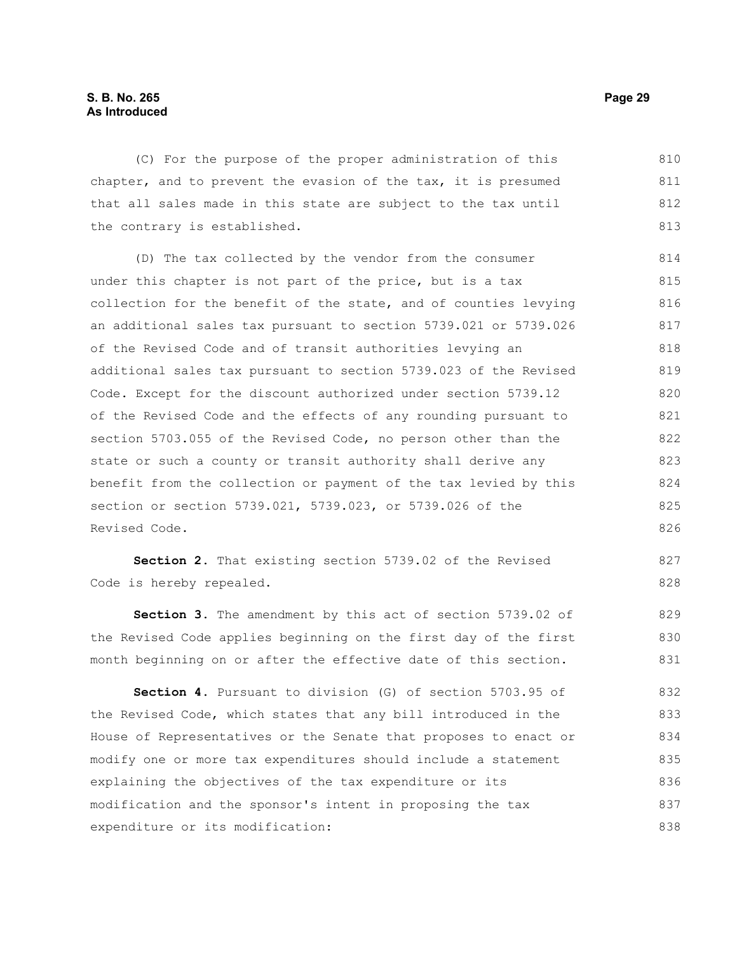#### **S. B. No. 265 Page 29 As Introduced**

(C) For the purpose of the proper administration of this chapter, and to prevent the evasion of the tax, it is presumed that all sales made in this state are subject to the tax until the contrary is established. 810 811 812 813

(D) The tax collected by the vendor from the consumer under this chapter is not part of the price, but is a tax collection for the benefit of the state, and of counties levying an additional sales tax pursuant to section 5739.021 or 5739.026 of the Revised Code and of transit authorities levying an additional sales tax pursuant to section 5739.023 of the Revised Code. Except for the discount authorized under section 5739.12 of the Revised Code and the effects of any rounding pursuant to section 5703.055 of the Revised Code, no person other than the state or such a county or transit authority shall derive any benefit from the collection or payment of the tax levied by this section or section 5739.021, 5739.023, or 5739.026 of the Revised Code. 814 815 816 817 818 819 820 821 822 823 824 825 826

**Section 2.** That existing section 5739.02 of the Revised Code is hereby repealed. 827 828

**Section 3.** The amendment by this act of section 5739.02 of the Revised Code applies beginning on the first day of the first month beginning on or after the effective date of this section. 829 830 831

**Section 4.** Pursuant to division (G) of section 5703.95 of the Revised Code, which states that any bill introduced in the House of Representatives or the Senate that proposes to enact or modify one or more tax expenditures should include a statement explaining the objectives of the tax expenditure or its modification and the sponsor's intent in proposing the tax expenditure or its modification: 832 833 834 835 836 837 838